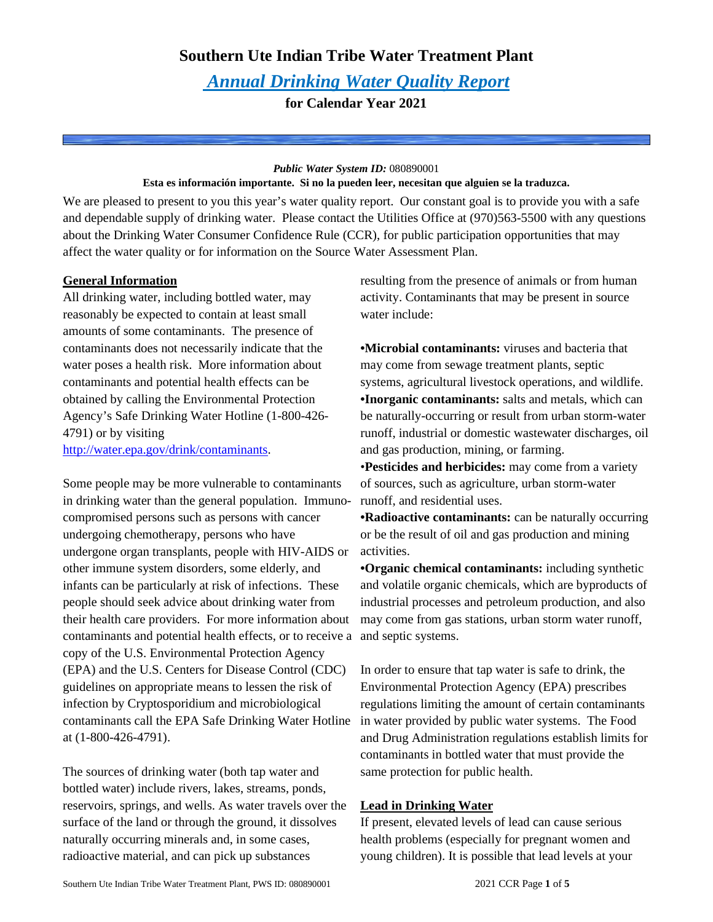## **Southern Ute Indian Tribe Water Treatment Plant**

# *Annual Drinking Water Quality Report*

**for Calendar Year 2021**

#### *Public Water System ID:* 080890001

### **Esta es información importante. Si no la pueden leer, necesitan que alguien se la traduzca.**

We are pleased to present to you this year's water quality report. Our constant goal is to provide you with a safe and dependable supply of drinking water. Please contact the Utilities Office at (970)563-5500 with any questions about the Drinking Water Consumer Confidence Rule (CCR), for public participation opportunities that may affect the water quality or for information on the Source Water Assessment Plan.

### **General Information**

All drinking water, including bottled water, may reasonably be expected to contain at least small amounts of some contaminants. The presence of contaminants does not necessarily indicate that the water poses a health risk. More information about contaminants and potential health effects can be obtained by calling the Environmental Protection Agency's Safe Drinking Water Hotline (1-800-426- 4791) or by visiting [http://water.epa.gov/drink/contaminants.](http://water.epa.gov/drink/contaminants)

Some people may be more vulnerable to contaminants in drinking water than the general population. Immunocompromised persons such as persons with cancer undergoing chemotherapy, persons who have undergone organ transplants, people with HIV-AIDS or other immune system disorders, some elderly, and infants can be particularly at risk of infections. These people should seek advice about drinking water from their health care providers. For more information about contaminants and potential health effects, or to receive a copy of the U.S. Environmental Protection Agency (EPA) and the U.S. Centers for Disease Control (CDC) guidelines on appropriate means to lessen the risk of infection by Cryptosporidium and microbiological contaminants call the EPA Safe Drinking Water Hotline at (1-800-426-4791).

The sources of drinking water (both tap water and bottled water) include rivers, lakes, streams, ponds, reservoirs, springs, and wells. As water travels over the surface of the land or through the ground, it dissolves naturally occurring minerals and, in some cases, radioactive material, and can pick up substances

resulting from the presence of animals or from human activity. Contaminants that may be present in source water include:

**•Microbial contaminants:** viruses and bacteria that may come from sewage treatment plants, septic systems, agricultural livestock operations, and wildlife. **•Inorganic contaminants:** salts and metals, which can be naturally-occurring or result from urban storm-water runoff, industrial or domestic wastewater discharges, oil and gas production, mining, or farming.

•**Pesticides and herbicides:** may come from a variety of sources, such as agriculture, urban storm-water runoff, and residential uses.

**•Radioactive contaminants:** can be naturally occurring or be the result of oil and gas production and mining activities.

**•Organic chemical contaminants:** including synthetic and volatile organic chemicals, which are byproducts of industrial processes and petroleum production, and also may come from gas stations, urban storm water runoff, and septic systems.

In order to ensure that tap water is safe to drink, the Environmental Protection Agency (EPA) prescribes regulations limiting the amount of certain contaminants in water provided by public water systems. The Food and Drug Administration regulations establish limits for contaminants in bottled water that must provide the same protection for public health.

### **Lead in Drinking Water**

If present, elevated levels of lead can cause serious health problems (especially for pregnant women and young children). It is possible that lead levels at your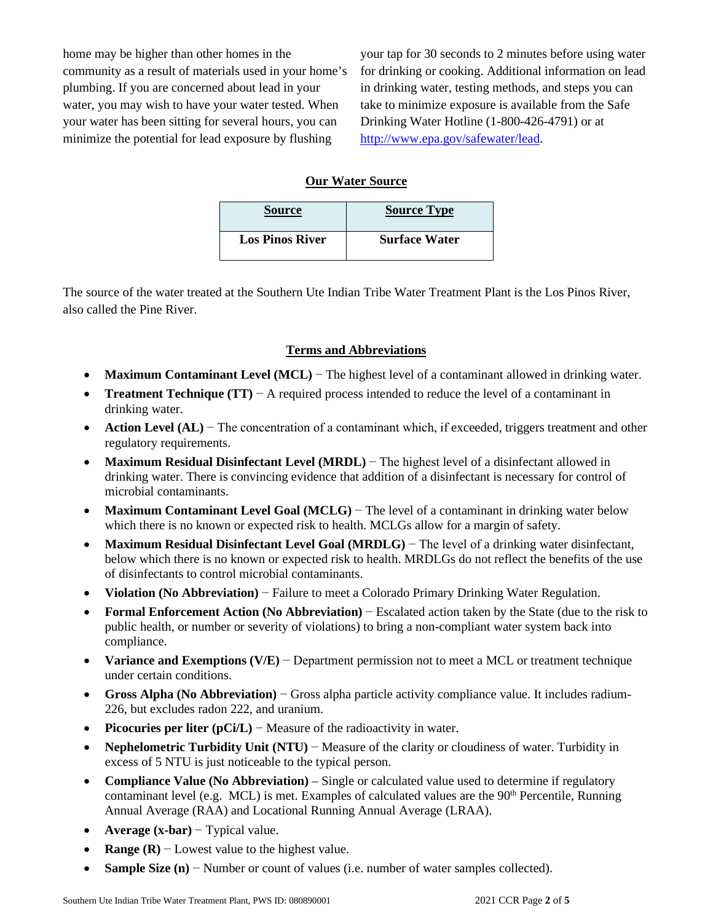home may be higher than other homes in the community as a result of materials used in your home's plumbing. If you are concerned about lead in your water, you may wish to have your water tested. When your water has been sitting for several hours, you can minimize the potential for lead exposure by flushing

your tap for 30 seconds to 2 minutes before using water for drinking or cooking. Additional information on lead in drinking water, testing methods, and steps you can take to minimize exposure is available from the Safe Drinking Water Hotline (1-800-426-4791) or at [http://www.epa.gov/safewater/lead.](http://www.epa.gov/safewater/lead)

#### **Our Water Source**

| <b>Source</b>          | <b>Source Type</b>   |
|------------------------|----------------------|
| <b>Los Pinos River</b> | <b>Surface Water</b> |

The source of the water treated at the Southern Ute Indian Tribe Water Treatment Plant is the Los Pinos River, also called the Pine River.

#### **Terms and Abbreviations**

- **Maximum Contaminant Level (MCL)** − The highest level of a contaminant allowed in drinking water.
- **Treatment Technique (TT)** − A required process intended to reduce the level of a contaminant in drinking water.
- **Action Level (AL)** − The concentration of a contaminant which, if exceeded, triggers treatment and other regulatory requirements.
- **Maximum Residual Disinfectant Level (MRDL)** − The highest level of a disinfectant allowed in drinking water. There is convincing evidence that addition of a disinfectant is necessary for control of microbial contaminants.
- **Maximum Contaminant Level Goal (MCLG)** − The level of a contaminant in drinking water below which there is no known or expected risk to health. MCLGs allow for a margin of safety.
- **Maximum Residual Disinfectant Level Goal (MRDLG)** − The level of a drinking water disinfectant, below which there is no known or expected risk to health. MRDLGs do not reflect the benefits of the use of disinfectants to control microbial contaminants.
- **Violation (No Abbreviation)** − Failure to meet a Colorado Primary Drinking Water Regulation.
- **Formal Enforcement Action (No Abbreviation)** − Escalated action taken by the State (due to the risk to public health, or number or severity of violations) to bring a non-compliant water system back into compliance.
- **Variance and Exemptions (V/E)** − Department permission not to meet a MCL or treatment technique under certain conditions.
- **Gross Alpha (No Abbreviation)** Gross alpha particle activity compliance value. It includes radium-226, but excludes radon 222, and uranium.
- **Picocuries per liter (pCi/L)** − Measure of the radioactivity in water.
- **Nephelometric Turbidity Unit (NTU)** − Measure of the clarity or cloudiness of water. Turbidity in excess of 5 NTU is just noticeable to the typical person.
- **Compliance Value (No Abbreviation)** Single or calculated value used to determine if regulatory contaminant level (e.g. MCL) is met. Examples of calculated values are the  $90<sup>th</sup>$  Percentile, Running Annual Average (RAA) and Locational Running Annual Average (LRAA).
- **Average (x-bar)** − Typical value.
- **Range (R)** − Lowest value to the highest value.
- **Sample Size (n)** − Number or count of values (i.e. number of water samples collected).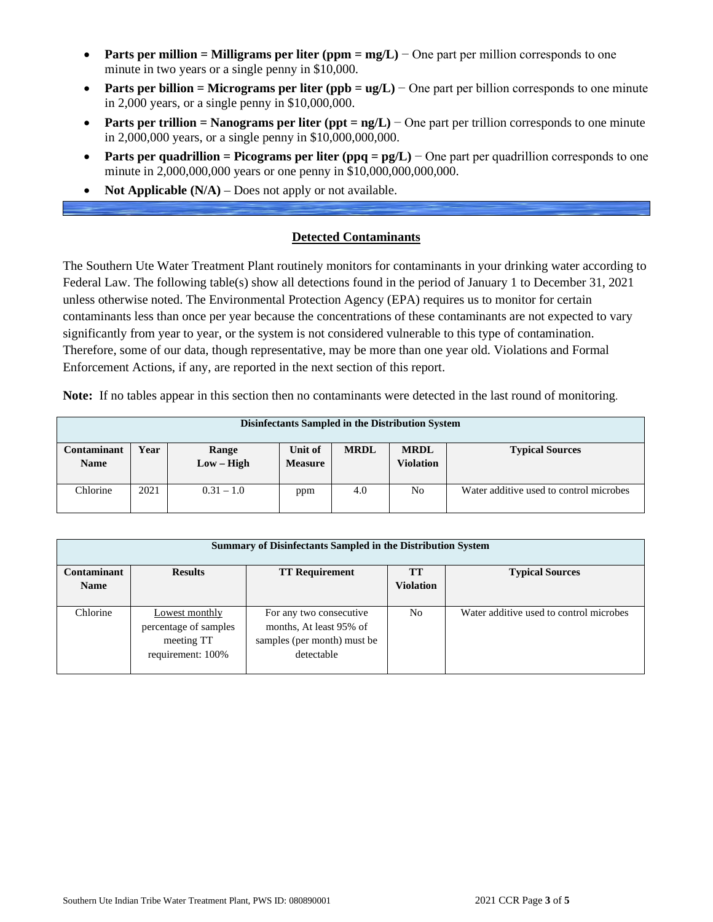- **Parts per million = Milligrams per liter (ppm = mg/L)** − One part per million corresponds to one minute in two years or a single penny in \$10,000.
- **Parts per billion = Micrograms per liter (ppb = ug/L)** − One part per billion corresponds to one minute in 2,000 years, or a single penny in \$10,000,000.
- **Parts per trillion = Nanograms per liter (ppt = ng/L)** − One part per trillion corresponds to one minute in 2,000,000 years, or a single penny in \$10,000,000,000.
- **Parts per quadrillion = Picograms per liter (ppq =**  $pg/L$ **)** One part per quadrillion corresponds to one minute in 2,000,000,000 years or one penny in \$10,000,000,000,000.
- **Not Applicable (N/A)** Does not apply or not available.

#### **Detected Contaminants**

The Southern Ute Water Treatment Plant routinely monitors for contaminants in your drinking water according to Federal Law. The following table(s) show all detections found in the period of January 1 to December 31, 2021 unless otherwise noted. The Environmental Protection Agency (EPA) requires us to monitor for certain contaminants less than once per year because the concentrations of these contaminants are not expected to vary significantly from year to year, or the system is not considered vulnerable to this type of contamination. Therefore, some of our data, though representative, may be more than one year old. Violations and Formal Enforcement Actions, if any, are reported in the next section of this report.

**Note:** If no tables appear in this section then no contaminants were detected in the last round of monitoring.

| Disinfectants Sampled in the Distribution System |      |                       |                           |             |                          |                                         |  |  |  |
|--------------------------------------------------|------|-----------------------|---------------------------|-------------|--------------------------|-----------------------------------------|--|--|--|
| Contaminant<br><b>Name</b>                       | Year | Range<br>$Low - High$ | Unit of<br><b>Measure</b> | <b>MRDL</b> | <b>MRDL</b><br>Violation | <b>Typical Sources</b>                  |  |  |  |
| Chlorine                                         | 2021 | $0.31 - 1.0$          | ppm                       | 4.0         | N <sub>0</sub>           | Water additive used to control microbes |  |  |  |

| <b>Summary of Disinfectants Sampled in the Distribution System</b> |                                                                                |                             |                  |                                         |  |  |  |  |  |  |
|--------------------------------------------------------------------|--------------------------------------------------------------------------------|-----------------------------|------------------|-----------------------------------------|--|--|--|--|--|--|
| <b>Contaminant</b>                                                 | <b>Results</b><br><b>TT</b><br><b>TT Requirement</b><br><b>Typical Sources</b> |                             |                  |                                         |  |  |  |  |  |  |
| <b>Name</b>                                                        |                                                                                |                             | <b>Violation</b> |                                         |  |  |  |  |  |  |
|                                                                    |                                                                                |                             |                  |                                         |  |  |  |  |  |  |
| Chlorine                                                           | Lowest monthly                                                                 | For any two consecutive     | No.              | Water additive used to control microbes |  |  |  |  |  |  |
|                                                                    | percentage of samples                                                          | months, At least 95% of     |                  |                                         |  |  |  |  |  |  |
|                                                                    | meeting TT                                                                     | samples (per month) must be |                  |                                         |  |  |  |  |  |  |
|                                                                    | requirement: 100%                                                              | detectable                  |                  |                                         |  |  |  |  |  |  |
|                                                                    |                                                                                |                             |                  |                                         |  |  |  |  |  |  |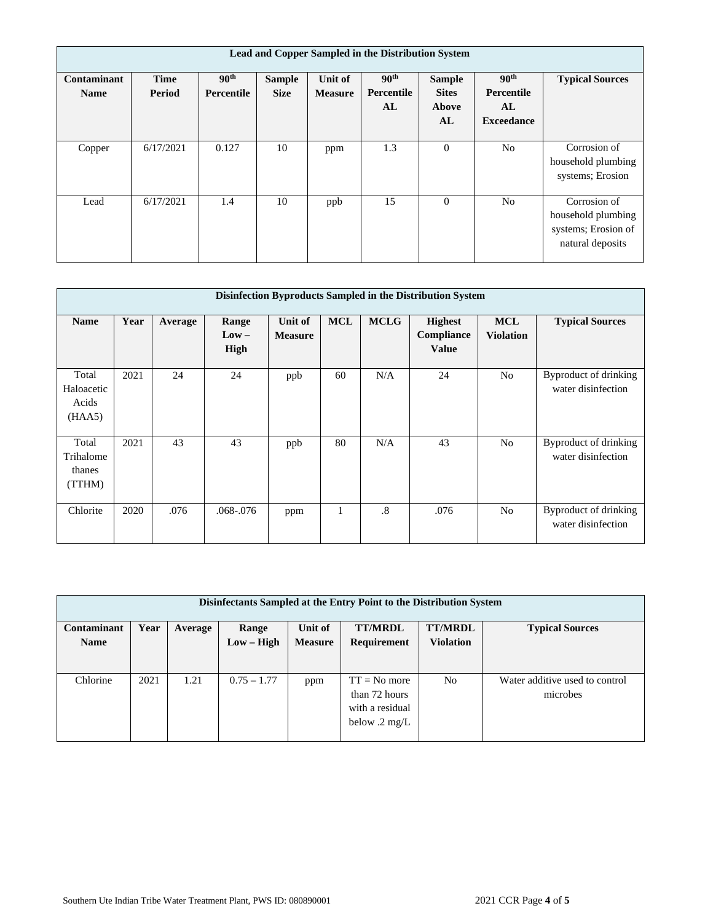|                            | <b>Lead and Copper Sampled in the Distribution System</b> |                                       |                              |                           |                                      |                                              |                                                           |                                                                               |  |  |
|----------------------------|-----------------------------------------------------------|---------------------------------------|------------------------------|---------------------------|--------------------------------------|----------------------------------------------|-----------------------------------------------------------|-------------------------------------------------------------------------------|--|--|
| Contaminant<br><b>Name</b> | <b>Time</b><br>Period                                     | 90 <sup>th</sup><br><b>Percentile</b> | <b>Sample</b><br><b>Size</b> | Unit of<br><b>Measure</b> | 90 <sup>th</sup><br>Percentile<br>AL | <b>Sample</b><br><b>Sites</b><br>Above<br>AL | 90 <sup>th</sup><br>Percentile<br>AL<br><b>Exceedance</b> | <b>Typical Sources</b>                                                        |  |  |
| Copper                     | 6/17/2021                                                 | 0.127                                 | 10                           | ppm                       | 1.3                                  | $\theta$                                     | N <sub>o</sub>                                            | Corrosion of<br>household plumbing<br>systems; Erosion                        |  |  |
| Lead                       | 6/17/2021                                                 | 1.4                                   | 10                           | ppb                       | 15                                   | $\theta$                                     | N <sub>0</sub>                                            | Corrosion of<br>household plumbing<br>systems; Erosion of<br>natural deposits |  |  |

| Disinfection Byproducts Sampled in the Distribution System |      |         |                          |                           |            |                        |                                              |                                |                                             |  |
|------------------------------------------------------------|------|---------|--------------------------|---------------------------|------------|------------------------|----------------------------------------------|--------------------------------|---------------------------------------------|--|
| <b>Name</b>                                                | Year | Average | Range<br>$Low -$<br>High | Unit of<br><b>Measure</b> | <b>MCL</b> | <b>MCLG</b>            | <b>Highest</b><br>Compliance<br><b>Value</b> | <b>MCL</b><br><b>Violation</b> | <b>Typical Sources</b>                      |  |
| Total<br>Haloacetic<br>Acids<br>(HAA5)                     | 2021 | 24      | 24                       | ppb                       | 60         | N/A                    | 24                                           | N <sub>o</sub>                 | Byproduct of drinking<br>water disinfection |  |
| Total<br>Trihalome<br>thanes<br>(TTHM)                     | 2021 | 43      | 43                       | ppb                       | 80         | N/A                    | 43                                           | No                             | Byproduct of drinking<br>water disinfection |  |
| Chlorite                                                   | 2020 | .076    | .068-.076                | ppm                       | 1          | $\cdot$ <sup>8</sup> . | .076                                         | N <sub>o</sub>                 | Byproduct of drinking<br>water disinfection |  |

| Disinfectants Sampled at the Entry Point to the Distribution System |      |         |               |                |                         |                  |                                |  |  |  |
|---------------------------------------------------------------------|------|---------|---------------|----------------|-------------------------|------------------|--------------------------------|--|--|--|
| Contaminant                                                         | Year | Average | Range         | Unit of        | <b>TT/MRDL</b>          | <b>TT/MRDL</b>   | <b>Typical Sources</b>         |  |  |  |
| <b>Name</b>                                                         |      |         | $Low - High$  | <b>Measure</b> | Requirement             | <b>Violation</b> |                                |  |  |  |
|                                                                     |      |         |               |                |                         |                  |                                |  |  |  |
| Chlorine                                                            | 2021 | 1.21    | $0.75 - 1.77$ | ppm            | $TT = No$ more          | N <sub>0</sub>   | Water additive used to control |  |  |  |
|                                                                     |      |         |               |                | than 72 hours           |                  | microbes                       |  |  |  |
|                                                                     |      |         |               |                | with a residual         |                  |                                |  |  |  |
|                                                                     |      |         |               |                | below $.2 \text{ mg/L}$ |                  |                                |  |  |  |
|                                                                     |      |         |               |                |                         |                  |                                |  |  |  |